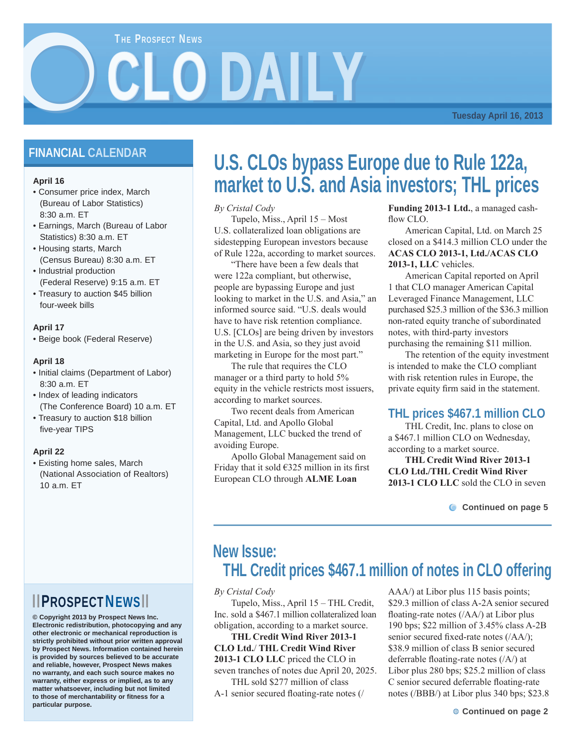### **THE PROSPECT NEWS**

**Tuesday April 16, 2013**

### **FINANCIAL CALENDAR**

### **April 16**

O

- Consumer price index, March (Bureau of Labor Statistics) 8:30 a.m. ET
- Earnings, March (Bureau of Labor Statistics) 8:30 a.m. ET
- Housing starts, March (Census Bureau) 8:30 a.m. ET
- Industrial production (Federal Reserve) 9:15 a.m. ET
- Treasury to auction \$45 billion four-week bills

### **April 17**

• Beige book (Federal Reserve)

### **April 18**

- Initial claims (Department of Labor) 8:30 a.m. ET
- Index of leading indicators (The Conference Board) 10 a.m. ET
- Treasury to auction \$18 billion five-year TIPS

### **April 22**

• Existing home sales, March (National Association of Realtors)  $10a \text{ m}$  FT

## ▮ ▮PROSPECTNEWS▮ ▮

**© Copyright 2013 by Prospect News Inc. Electronic redistribution, photocopying and any other electronic or mechanical reproduction is strictly prohibited without prior written approval by Prospect News. Information contained herein is provided by sources believed to be accurate and reliable, however, Prospect News makes no warranty, and each such source makes no warranty, either express or implied, as to any matter whatsoever, including but not limited to those of merchantability or fitness for a particular purpose.**

## **U.S. CLOs bypass Europe due to Rule 122a, market to U.S. and Asia investors; THL prices**

*By Cristal Cody*

CLO DAILY

 Tupelo, Miss., April 15 – Most U.S. collateralized loan obligations are sidestepping European investors because of Rule 122a, according to market sources.

 "There have been a few deals that were 122a compliant, but otherwise, people are bypassing Europe and just looking to market in the U.S. and Asia," an informed source said. "U.S. deals would have to have risk retention compliance. U.S. [CLOs] are being driven by investors in the U.S. and Asia, so they just avoid marketing in Europe for the most part."

 The rule that requires the CLO manager or a third party to hold 5% equity in the vehicle restricts most issuers, according to market sources.

 Two recent deals from American Capital, Ltd. and Apollo Global Management, LLC bucked the trend of avoiding Europe.

 Apollo Global Management said on Friday that it sold  $6325$  million in its first European CLO through **ALME Loan** 

**Funding 2013-1 Ltd.**, a managed cashflow CLO.

 American Capital, Ltd. on March 25 closed on a \$414.3 million CLO under the **ACAS CLO 2013-1, Ltd./ACAS CLO 2013-1, LLC** vehicles.

 American Capital reported on April 1 that CLO manager American Capital Leveraged Finance Management, LLC purchased \$25.3 million of the \$36.3 million non-rated equity tranche of subordinated notes, with third-party investors purchasing the remaining \$11 million.

 The retention of the equity investment is intended to make the CLO compliant with risk retention rules in Europe, the private equity firm said in the statement.

### **THL prices \$467.1 million CLO**

 THL Credit, Inc. plans to close on a \$467.1 million CLO on Wednesday, according to a market source.

**THL Credit Wind River 2013-1 CLO Ltd./THL Credit Wind River 2013-1 CLO LLC** sold the CLO in seven

**C** Continued on page 5

## **New Issue: THL Credit prices \$467.1 million of notes in CLO offering**

*By Cristal Cody*

 Tupelo, Miss., April 15 – THL Credit, Inc. sold a \$467.1 million collateralized loan obligation, according to a market source.

**THL Credit Wind River 2013-1 CLO Ltd.**/ **THL Credit Wind River 2013-1 CLO LLC** priced the CLO in seven tranches of notes due April 20, 2025. THL sold \$277 million of class

A-1 senior secured floating-rate notes (/

AAA/) at Libor plus 115 basis points; \$29.3 million of class A-2A senior secured floating-rate notes  $/(\text{AA})$  at Libor plus 190 bps; \$22 million of 3.45% class A-2B senior secured fixed-rate notes (/AA/); \$38.9 million of class B senior secured deferrable floating-rate notes  $(|A\rangle)$  at Libor plus 280 bps; \$25.2 million of class C senior secured deferrable floating-rate notes (/BBB/) at Libor plus 340 bps; \$23.8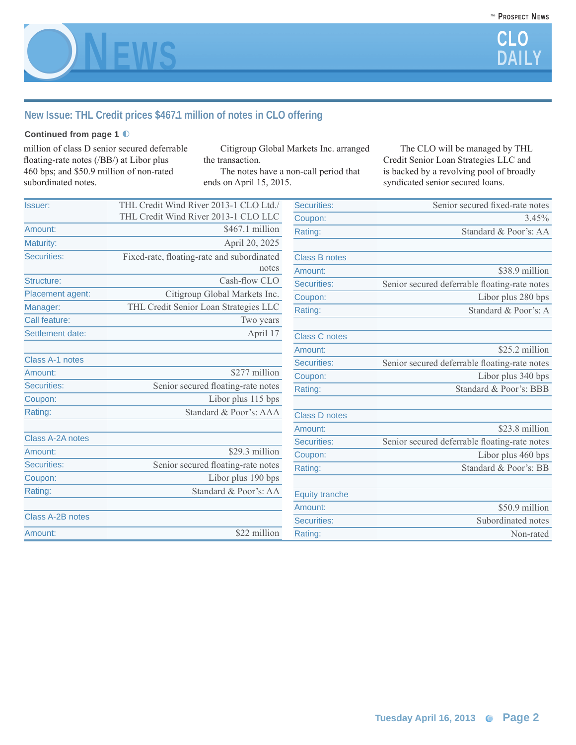

### **New Issue: THL Credit prices \$467.1 million of notes in CLO offering**

### **Continued from page 1** ◐

million of class D senior secured deferrable floating-rate notes (/BB/) at Libor plus 460 bps; and \$50.9 million of non-rated subordinated notes.

 Citigroup Global Markets Inc. arranged the transaction.

 The notes have a non-call period that ends on April 15, 2015.

 The CLO will be managed by THL Credit Senior Loan Strategies LLC and is backed by a revolving pool of broadly syndicated senior secured loans.

| Issuer:                 | THL Credit Wind River 2013-1 CLO Ltd./     | Securities:           | Senior secured fixed-rate notes               |
|-------------------------|--------------------------------------------|-----------------------|-----------------------------------------------|
|                         | THL Credit Wind River 2013-1 CLO LLC       | Coupon:               | 3.45%                                         |
| Amount:                 | \$467.1 million                            | Rating:               | Standard & Poor's: AA                         |
| Maturity:               | April 20, 2025                             |                       |                                               |
| Securities:             | Fixed-rate, floating-rate and subordinated | <b>Class B notes</b>  |                                               |
|                         | notes                                      | Amount:               | \$38.9 million                                |
| Structure:              | Cash-flow CLO                              | <b>Securities:</b>    | Senior secured deferrable floating-rate notes |
| Placement agent:        | Citigroup Global Markets Inc.              | Coupon:               | Libor plus 280 bps                            |
| Manager:                | THL Credit Senior Loan Strategies LLC      | Rating:               | Standard & Poor's: A                          |
| Call feature:           | Two years                                  |                       |                                               |
| Settlement date:        | April 17                                   | <b>Class C notes</b>  |                                               |
|                         |                                            | Amount:               | \$25.2 million                                |
| Class A-1 notes         |                                            | Securities:           | Senior secured deferrable floating-rate notes |
| Amount:                 | \$277 million                              | Coupon:               | Libor plus 340 bps                            |
| Securities:             | Senior secured floating-rate notes         | Rating:               | Standard & Poor's: BBB                        |
| Coupon:                 | Libor plus 115 bps                         |                       |                                               |
| Rating:                 | Standard & Poor's: AAA                     | <b>Class D notes</b>  |                                               |
|                         |                                            | Amount:               | \$23.8 million                                |
| <b>Class A-2A notes</b> |                                            | Securities:           | Senior secured deferrable floating-rate notes |
| Amount:                 | \$29.3 million                             | Coupon:               | Libor plus 460 bps                            |
| <b>Securities:</b>      | Senior secured floating-rate notes         | Rating:               | Standard & Poor's: BB                         |
| Coupon:                 | Libor plus 190 bps                         |                       |                                               |
| Rating:                 | Standard & Poor's: AA                      | <b>Equity tranche</b> |                                               |
|                         |                                            | Amount:               | \$50.9 million                                |
| Class A-2B notes        |                                            | <b>Securities:</b>    | Subordinated notes                            |
| Amount:                 | \$22 million                               | Rating:               | Non-rated                                     |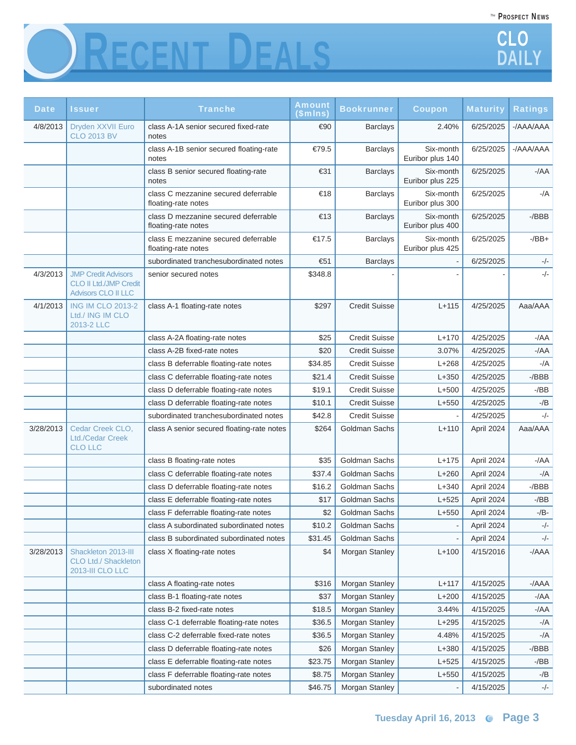



| <b>Date</b> | Issuer                                                                                    | <b>Tranche</b>                                              | Amount<br>\$mlns) | <b>Bookrunner</b>    | <b>Coupon</b>                 | <b>Maturity</b> | <b>Ratings</b> |
|-------------|-------------------------------------------------------------------------------------------|-------------------------------------------------------------|-------------------|----------------------|-------------------------------|-----------------|----------------|
| 4/8/2013    | Dryden XXVII Euro<br><b>CLO 2013 BV</b>                                                   | class A-1A senior secured fixed-rate<br>notes               | €90               | <b>Barclays</b>      | 2.40%                         | 6/25/2025       | -/AAA/AAA      |
|             |                                                                                           | class A-1B senior secured floating-rate<br>notes            | €79.5             | <b>Barclays</b>      | Six-month<br>Euribor plus 140 | 6/25/2025       | $-$ /AAA/AAA   |
|             |                                                                                           | class B senior secured floating-rate<br>notes               | €31               | <b>Barclays</b>      | Six-month<br>Euribor plus 225 | 6/25/2025       | $-AA$          |
|             |                                                                                           | class C mezzanine secured deferrable<br>floating-rate notes | €18               | <b>Barclays</b>      | Six-month<br>Euribor plus 300 | 6/25/2025       | $-/A$          |
|             |                                                                                           | class D mezzanine secured deferrable<br>floating-rate notes | €13               | <b>Barclays</b>      | Six-month<br>Euribor plus 400 | 6/25/2025       | $-$ /BBB       |
|             |                                                                                           | class E mezzanine secured deferrable<br>floating-rate notes | €17.5             | <b>Barclays</b>      | Six-month<br>Euribor plus 425 | 6/25/2025       | $-$ /BB $+$    |
|             |                                                                                           | subordinated tranchesubordinated notes                      | €51               | <b>Barclays</b>      |                               | 6/25/2025       | $-/-$          |
| 4/3/2013    | <b>JMP Credit Advisors</b><br><b>CLO II Ltd./JMP Credit</b><br><b>Advisors CLO II LLC</b> | senior secured notes                                        | \$348.8           |                      |                               |                 | $-/-$          |
| 4/1/2013    | <b>ING IM CLO 2013-2</b><br>Ltd./ ING IM CLO<br>2013-2 LLC                                | class A-1 floating-rate notes                               | \$297             | <b>Credit Suisse</b> | $L + 115$                     | 4/25/2025       | Aaa/AAA        |
|             |                                                                                           | class A-2A floating-rate notes                              | \$25              | <b>Credit Suisse</b> | $L + 170$                     | 4/25/2025       | $-/AA$         |
|             |                                                                                           | class A-2B fixed-rate notes                                 | \$20              | <b>Credit Suisse</b> | 3.07%                         | 4/25/2025       | $-/AA$         |
|             |                                                                                           | class B deferrable floating-rate notes                      | \$34.85           | <b>Credit Suisse</b> | $L+268$                       | 4/25/2025       | $-/A$          |
|             |                                                                                           | class C deferrable floating-rate notes                      | \$21.4            | <b>Credit Suisse</b> | $L + 350$                     | 4/25/2025       | -/BBB          |
|             |                                                                                           | class D deferrable floating-rate notes                      | \$19.1            | <b>Credit Suisse</b> | $L+500$                       | 4/25/2025       | $-$ /BB        |
|             |                                                                                           | class D deferrable floating-rate notes                      | \$10.1            | <b>Credit Suisse</b> | $L + 550$                     | 4/25/2025       | $-$ /B         |
|             |                                                                                           | subordinated tranchesubordinated notes                      | \$42.8            | <b>Credit Suisse</b> |                               | 4/25/2025       | $-/-$          |
| 3/28/2013   | Cedar Creek CLO,<br>Ltd./Cedar Creek<br><b>CLO LLC</b>                                    | class A senior secured floating-rate notes                  | \$264             | Goldman Sachs        | $L + 110$                     | April 2024      | Aaa/AAA        |
|             |                                                                                           | class B floating-rate notes                                 | \$35              | Goldman Sachs        | $L + 175$                     | April 2024      | -/AA           |
|             |                                                                                           | class C deferrable floating-rate notes                      | \$37.4            | Goldman Sachs        | $L+260$                       | April 2024      | -/A            |
|             |                                                                                           | class D deferrable floating-rate notes                      | \$16.2            | Goldman Sachs        | $L + 340$                     | April 2024      | $-$ /BBB       |
|             |                                                                                           | class E deferrable floating-rate notes                      | \$17              | Goldman Sachs        | $L+525$                       | April 2024      | -/BB           |
|             |                                                                                           | class F deferrable floating-rate notes                      | \$2               | Goldman Sachs        | $L + 550$                     | April 2024      | $-$ /B-        |
|             |                                                                                           | class A subordinated subordinated notes                     | \$10.2            | Goldman Sachs        |                               | April 2024      | -/-            |
|             |                                                                                           | class B subordinated subordinated notes                     | \$31.45           | Goldman Sachs        |                               | April 2024      | $-/-$          |
| 3/28/2013   | Shackleton 2013-III<br>CLO Ltd./ Shackleton<br>2013-III CLO LLC                           | class X floating-rate notes                                 | \$4               | Morgan Stanley       | $L+100$                       | 4/15/2016       | $-/AAA$        |
|             |                                                                                           | class A floating-rate notes                                 | \$316             | Morgan Stanley       | $L + 117$                     | 4/15/2025       | $-AAA$         |
|             |                                                                                           | class B-1 floating-rate notes                               | \$37              | Morgan Stanley       | $L+200$                       | 4/15/2025       | $-/AA$         |
|             |                                                                                           | class B-2 fixed-rate notes                                  | \$18.5            | Morgan Stanley       | 3.44%                         | 4/15/2025       | $-/AA$         |
|             |                                                                                           | class C-1 deferrable floating-rate notes                    | \$36.5            | Morgan Stanley       | $L + 295$                     | 4/15/2025       | $-/A$          |
|             |                                                                                           | class C-2 deferrable fixed-rate notes                       | \$36.5            | Morgan Stanley       | 4.48%                         | 4/15/2025       | -/A            |
|             |                                                                                           | class D deferrable floating-rate notes                      | \$26              | Morgan Stanley       | $L+380$                       | 4/15/2025       | $-$ /BBB       |
|             |                                                                                           | class E deferrable floating-rate notes                      | \$23.75           | Morgan Stanley       | $L+525$                       | 4/15/2025       | $-$ /BB        |
|             |                                                                                           | class F deferrable floating-rate notes                      | \$8.75            | Morgan Stanley       | $L + 550$                     | 4/15/2025       | -/B            |
|             |                                                                                           | subordinated notes                                          | \$46.75           | Morgan Stanley       |                               | 4/15/2025       | $-/-$          |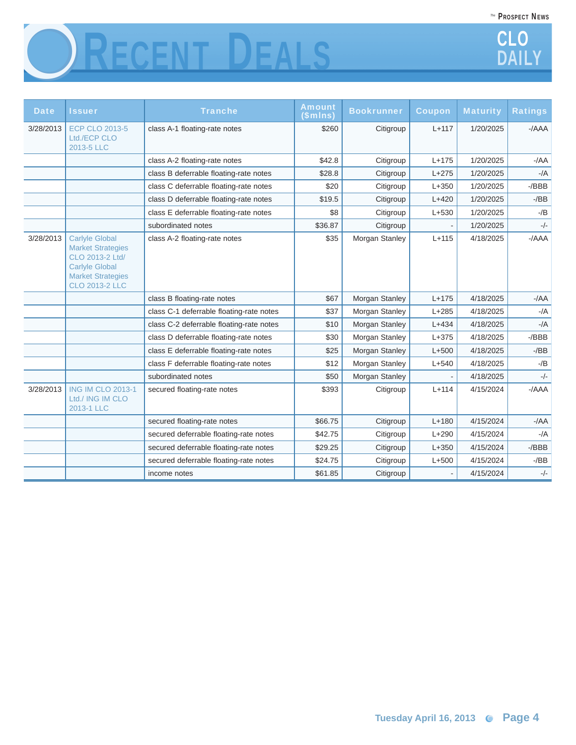PROSPECT NEWS *The*





| <b>Date</b> | <b>Issuer</b>                                                                                                                                      | <b>Tranche</b>                           | <b>Amount</b><br>\$mIns) | <b>Bookrunner</b> | <b>Coupon</b> | <b>Maturity</b> | <b>Ratings</b> |
|-------------|----------------------------------------------------------------------------------------------------------------------------------------------------|------------------------------------------|--------------------------|-------------------|---------------|-----------------|----------------|
| 3/28/2013   | <b>ECP CLO 2013-5</b><br>Ltd./ECP CLO<br>2013-5 LLC                                                                                                | class A-1 floating-rate notes            | \$260                    | Citigroup         | $L + 117$     | 1/20/2025       | $-AAA$         |
|             |                                                                                                                                                    | class A-2 floating-rate notes            | \$42.8                   | Citigroup         | $L + 175$     | 1/20/2025       | $-AA$          |
|             |                                                                                                                                                    | class B deferrable floating-rate notes   | \$28.8                   | Citigroup         | $L + 275$     | 1/20/2025       | $-/A$          |
|             |                                                                                                                                                    | class C deferrable floating-rate notes   | \$20                     | Citigroup         | $L + 350$     | 1/20/2025       | $-$ /BBB       |
|             |                                                                                                                                                    | class D deferrable floating-rate notes   | \$19.5                   | Citigroup         | $L+420$       | 1/20/2025       | $-$ /BB        |
|             |                                                                                                                                                    | class E deferrable floating-rate notes   | \$8                      | Citigroup         | $L+530$       | 1/20/2025       | $-$ /B         |
|             |                                                                                                                                                    | subordinated notes                       | \$36.87                  | Citigroup         |               | 1/20/2025       | $-/-$          |
| 3/28/2013   | <b>Carlyle Global</b><br><b>Market Strategies</b><br>CLO 2013-2 Ltd/<br><b>Carlvle Global</b><br><b>Market Strategies</b><br><b>CLO 2013-2 LLC</b> | class A-2 floating-rate notes            | \$35                     | Morgan Stanley    | $L+115$       | 4/18/2025       | $-/AA$         |
|             |                                                                                                                                                    | class B floating-rate notes              | \$67                     | Morgan Stanley    | $L + 175$     | 4/18/2025       | $-AA$          |
|             |                                                                                                                                                    | class C-1 deferrable floating-rate notes | \$37                     | Morgan Stanley    | $L+285$       | 4/18/2025       | $-/A$          |
|             |                                                                                                                                                    | class C-2 deferrable floating-rate notes | \$10                     | Morgan Stanley    | $L + 434$     | 4/18/2025       | $-/A$          |
|             |                                                                                                                                                    | class D deferrable floating-rate notes   | \$30                     | Morgan Stanley    | $L + 375$     | 4/18/2025       | $-$ /BBB       |
|             |                                                                                                                                                    | class E deferrable floating-rate notes   | \$25                     | Morgan Stanley    | $L+500$       | 4/18/2025       | $-$ /BB        |
|             |                                                                                                                                                    | class F deferrable floating-rate notes   | \$12                     | Morgan Stanley    | $L + 540$     | 4/18/2025       | $-$ /B         |
|             |                                                                                                                                                    | subordinated notes                       | \$50                     | Morgan Stanley    |               | 4/18/2025       | $-/-$          |
| 3/28/2013   | <b>ING IM CLO 2013-1</b><br>Ltd./ ING IM CLO<br>2013-1 LLC                                                                                         | secured floating-rate notes              | \$393                    | Citigroup         | $L+114$       | 4/15/2024       | $-/AA$         |
|             |                                                                                                                                                    | secured floating-rate notes              | \$66.75                  | Citigroup         | $L+180$       | 4/15/2024       | $-AA$          |
|             |                                                                                                                                                    | secured deferrable floating-rate notes   | \$42.75                  | Citigroup         | $L+290$       | 4/15/2024       | $-/A$          |
|             |                                                                                                                                                    | secured deferrable floating-rate notes   | \$29.25                  | Citigroup         | $L + 350$     | 4/15/2024       | $-$ /BBB       |
|             |                                                                                                                                                    | secured deferrable floating-rate notes   | \$24.75                  | Citigroup         | $L + 500$     | 4/15/2024       | $-$ /BB        |
|             |                                                                                                                                                    | income notes                             | \$61.85                  | Citigroup         |               | 4/15/2024       | $-/-$          |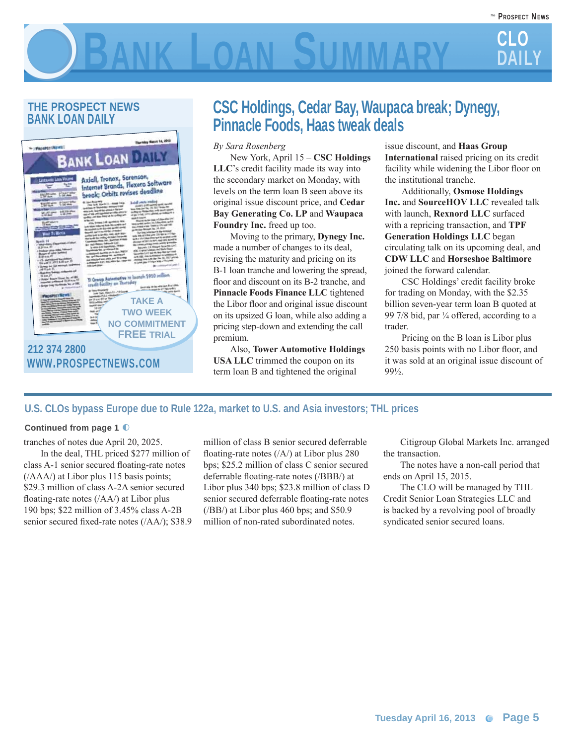# CLO BANK LOAN SUMMARY CLO

### **THE PROSPECT NEWS BANK LOAN DAILY**



## **CSC Holdings, Cedar Bay, Waupaca break; Dynegy, Pinnacle Foods, Haas tweak deals**

*By Sara Rosenberg* 

 New York, April 15 – **CSC Holdings LLC**'s credit facility made its way into the secondary market on Monday, with levels on the term loan B seen above its original issue discount price, and **Cedar Bay Generating Co. LP** and **Waupaca Foundry Inc.** freed up too.

 Moving to the primary, **Dynegy Inc.** made a number of changes to its deal, revising the maturity and pricing on its B-1 loan tranche and lowering the spread, floor and discount on its B-2 tranche, and **Pinnacle Foods Finance LLC** tightened the Libor floor and original issue discount on its upsized G loan, while also adding a pricing step-down and extending the call premium.

 Also, **Tower Automotive Holdings USA LLC** trimmed the coupon on its term loan B and tightened the original

issue discount, and **Haas Group International** raised pricing on its credit facility while widening the Libor floor on the institutional tranche.

 Additionally, **Osmose Holdings Inc.** and **SourceHOV LLC** revealed talk with launch, **Rexnord LLC** surfaced with a repricing transaction, and **TPF Generation Holdings LLC** began circulating talk on its upcoming deal, and **CDW LLC** and **Horseshoe Baltimore** joined the forward calendar.

 CSC Holdings' credit facility broke for trading on Monday, with the \$2.35 billion seven-year term loan B quoted at 99 7/8 bid, par  $\frac{1}{4}$  offered, according to a trader.

 Pricing on the B loan is Libor plus 250 basis points with no Libor floor, and it was sold at an original issue discount of 99½.

### **U.S. CLOs bypass Europe due to Rule 122a, market to U.S. and Asia investors; THL prices**

### **Continued from page 1** ◐

tranches of notes due April 20, 2025.

 In the deal, THL priced \$277 million of class A-1 senior secured floating-rate notes (/AAA/) at Libor plus 115 basis points; \$29.3 million of class A-2A senior secured floating-rate notes  $((AA))$  at Libor plus 190 bps; \$22 million of 3.45% class A-2B senior secured fixed-rate notes (/AA/); \$38.9 million of class B senior secured deferrable floating-rate notes  $(|A\rangle)$  at Libor plus 280 bps; \$25.2 million of class C senior secured deferrable floating-rate notes (/BBB/) at Libor plus 340 bps; \$23.8 million of class D senior secured deferrable floating-rate notes (/BB/) at Libor plus 460 bps; and \$50.9 million of non-rated subordinated notes.

 Citigroup Global Markets Inc. arranged the transaction.

 The notes have a non-call period that ends on April 15, 2015.

 The CLO will be managed by THL Credit Senior Loan Strategies LLC and is backed by a revolving pool of broadly syndicated senior secured loans.